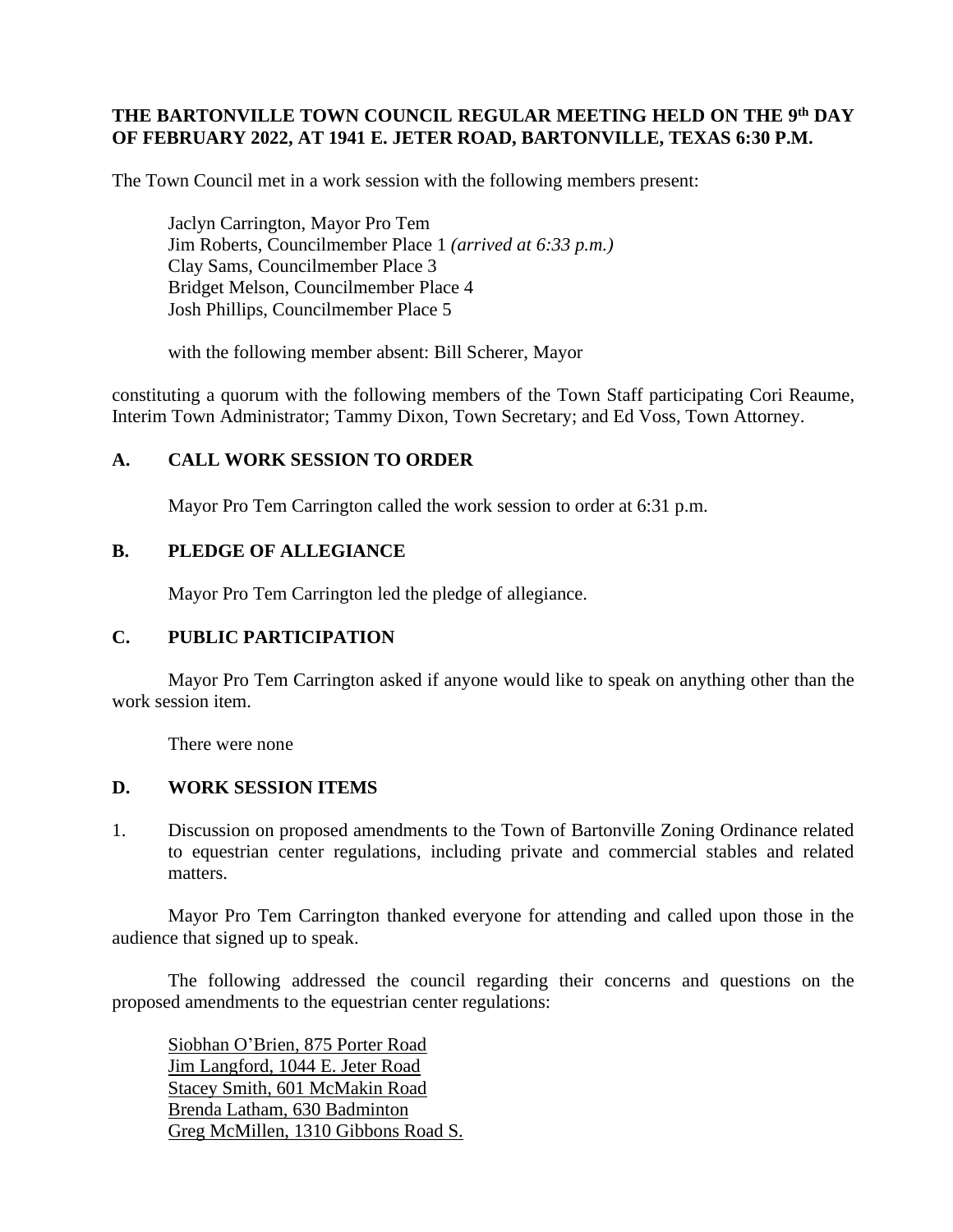### **THE BARTONVILLE TOWN COUNCIL REGULAR MEETING HELD ON THE 9 th DAY OF FEBRUARY 2022, AT 1941 E. JETER ROAD, BARTONVILLE, TEXAS 6:30 P.M.**

The Town Council met in a work session with the following members present:

Jaclyn Carrington, Mayor Pro Tem Jim Roberts, Councilmember Place 1 *(arrived at 6:33 p.m.)* Clay Sams, Councilmember Place 3 Bridget Melson, Councilmember Place 4 Josh Phillips, Councilmember Place 5

with the following member absent: Bill Scherer, Mayor

constituting a quorum with the following members of the Town Staff participating Cori Reaume, Interim Town Administrator; Tammy Dixon, Town Secretary; and Ed Voss, Town Attorney.

#### **A. CALL WORK SESSION TO ORDER**

Mayor Pro Tem Carrington called the work session to order at 6:31 p.m.

#### **B. PLEDGE OF ALLEGIANCE**

Mayor Pro Tem Carrington led the pledge of allegiance.

#### **C. PUBLIC PARTICIPATION**

Mayor Pro Tem Carrington asked if anyone would like to speak on anything other than the work session item.

There were none

#### **D. WORK SESSION ITEMS**

1. Discussion on proposed amendments to the Town of Bartonville Zoning Ordinance related to equestrian center regulations, including private and commercial stables and related matters.

Mayor Pro Tem Carrington thanked everyone for attending and called upon those in the audience that signed up to speak.

The following addressed the council regarding their concerns and questions on the proposed amendments to the equestrian center regulations:

Siobhan O'Brien, 875 Porter Road Jim Langford, 1044 E. Jeter Road Stacey Smith, 601 McMakin Road Brenda Latham, 630 Badminton Greg McMillen, 1310 Gibbons Road S.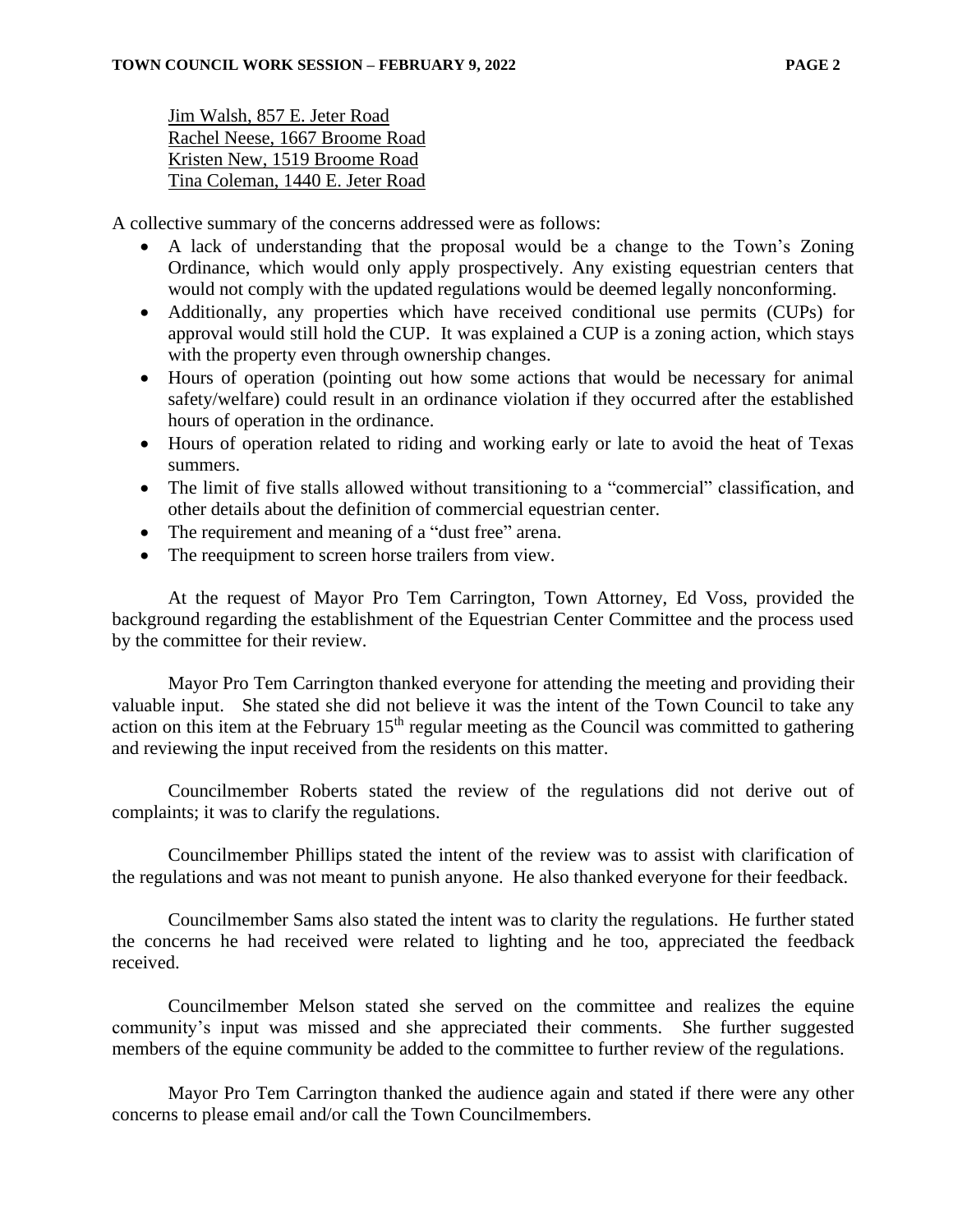Jim Walsh, 857 E. Jeter Road Rachel Neese, 1667 Broome Road Kristen New, 1519 Broome Road Tina Coleman, 1440 E. Jeter Road

A collective summary of the concerns addressed were as follows:

- A lack of understanding that the proposal would be a change to the Town's Zoning Ordinance, which would only apply prospectively. Any existing equestrian centers that would not comply with the updated regulations would be deemed legally nonconforming.
- Additionally, any properties which have received conditional use permits (CUPs) for approval would still hold the CUP. It was explained a CUP is a zoning action, which stays with the property even through ownership changes.
- Hours of operation (pointing out how some actions that would be necessary for animal safety/welfare) could result in an ordinance violation if they occurred after the established hours of operation in the ordinance.
- Hours of operation related to riding and working early or late to avoid the heat of Texas summers.
- The limit of five stalls allowed without transitioning to a "commercial" classification, and other details about the definition of commercial equestrian center.
- The requirement and meaning of a "dust free" arena.
- The reequipment to screen horse trailers from view.

At the request of Mayor Pro Tem Carrington, Town Attorney, Ed Voss, provided the background regarding the establishment of the Equestrian Center Committee and the process used by the committee for their review.

Mayor Pro Tem Carrington thanked everyone for attending the meeting and providing their valuable input. She stated she did not believe it was the intent of the Town Council to take any action on this item at the February 15<sup>th</sup> regular meeting as the Council was committed to gathering and reviewing the input received from the residents on this matter.

Councilmember Roberts stated the review of the regulations did not derive out of complaints; it was to clarify the regulations.

Councilmember Phillips stated the intent of the review was to assist with clarification of the regulations and was not meant to punish anyone. He also thanked everyone for their feedback.

Councilmember Sams also stated the intent was to clarity the regulations. He further stated the concerns he had received were related to lighting and he too, appreciated the feedback received.

Councilmember Melson stated she served on the committee and realizes the equine community's input was missed and she appreciated their comments. She further suggested members of the equine community be added to the committee to further review of the regulations.

Mayor Pro Tem Carrington thanked the audience again and stated if there were any other concerns to please email and/or call the Town Councilmembers.